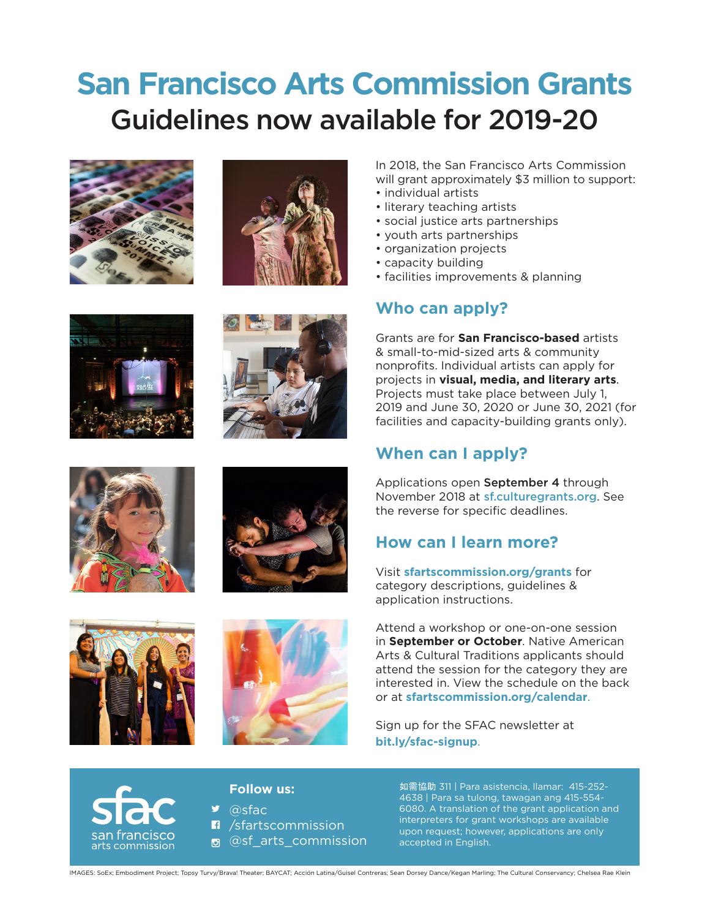# **San Francisco Arts Commission Grants**  Guidelines now available for 2019-20















In 2018, the San Francisco Arts Commission will grant approximately \$3 million to support:

- individual artists
- literary teaching artists
- social justice arts partnerships
- youth arts partnerships
- organization projects
- capacity building
- facilities improvements & planning

## **Who can apply?**

Grants are for **San Francisco-based** artists & small-to-mid-sized arts & community nonprofits. Individual artists can apply for projects in **visual, media, and literary arts**. Projects must take place between July 1, 2019 and June 30, 2020 or June 30, 2021 (for facilities and capacity-building grants only).

## **When can I apply?**

Applications open September 4 through November 2018 at sf.culturegrants.org. See the reverse for specific deadlines.

#### **How can I learn more?**

Visit **sfartscommission.org/grants** for category descriptions, guidelines & application instructions.

Attend a workshop or one-on-one session in **September or October**. Native American Arts & Cultural Traditions applicants should attend the session for the category they are interested in. View the schedule on the back or at **sfartscommission.org/calendar**.

Sign up for the SFAC newsletter at **bit.ly/sfac-signup**.



#### **Follow us:**

 $\bullet$  @sfac **n** /sfartscommission <sup>®</sup> @sf\_arts\_commission

如需協助 311 | Para asistencia, llamar: 415-252- 4638 | Para sa tulong, tawagan ang 415-554- 6080. A translation of the grant application and interpreters for grant workshops are available upon request; however, applications are only accepted in English.

IMAGES: SoEx; Embodiment Project; Topsy Turvy/Brava! Theater; BAYCAT; Acción Latina/Guisel Contreras; Sean Dorsey Dance/Kegan Marling; The Cultural Conservancy; Chelsea Rae Klein